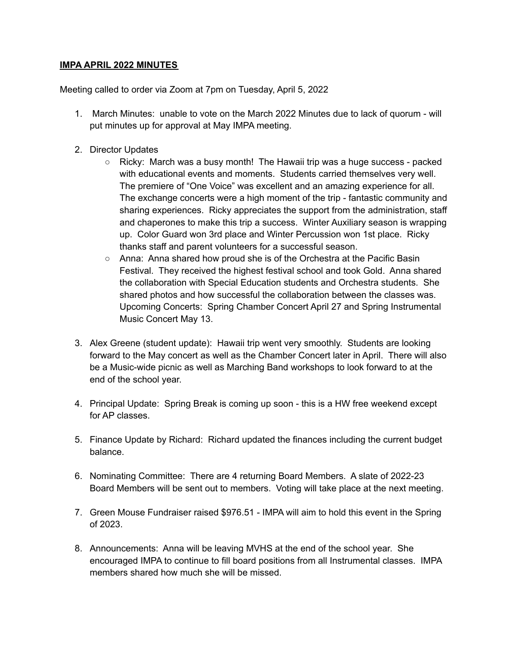## **IMPA APRIL 2022 MINUTES**

Meeting called to order via Zoom at 7pm on Tuesday, April 5, 2022

- 1. March Minutes: unable to vote on the March 2022 Minutes due to lack of quorum will put minutes up for approval at May IMPA meeting.
- 2. Director Updates
	- $\circ$  Ricky: March was a busy month! The Hawaii trip was a huge success packed with educational events and moments. Students carried themselves very well. The premiere of "One Voice" was excellent and an amazing experience for all. The exchange concerts were a high moment of the trip - fantastic community and sharing experiences. Ricky appreciates the support from the administration, staff and chaperones to make this trip a success. Winter Auxiliary season is wrapping up. Color Guard won 3rd place and Winter Percussion won 1st place. Ricky thanks staff and parent volunteers for a successful season.
	- Anna: Anna shared how proud she is of the Orchestra at the Pacific Basin Festival. They received the highest festival school and took Gold. Anna shared the collaboration with Special Education students and Orchestra students. She shared photos and how successful the collaboration between the classes was. Upcoming Concerts: Spring Chamber Concert April 27 and Spring Instrumental Music Concert May 13.
- 3. Alex Greene (student update): Hawaii trip went very smoothly. Students are looking forward to the May concert as well as the Chamber Concert later in April. There will also be a Music-wide picnic as well as Marching Band workshops to look forward to at the end of the school year.
- 4. Principal Update: Spring Break is coming up soon this is a HW free weekend except for AP classes.
- 5. Finance Update by Richard: Richard updated the finances including the current budget balance.
- 6. Nominating Committee: There are 4 returning Board Members. A slate of 2022-23 Board Members will be sent out to members. Voting will take place at the next meeting.
- 7. Green Mouse Fundraiser raised \$976.51 IMPA will aim to hold this event in the Spring of 2023.
- 8. Announcements: Anna will be leaving MVHS at the end of the school year. She encouraged IMPA to continue to fill board positions from all Instrumental classes. IMPA members shared how much she will be missed.